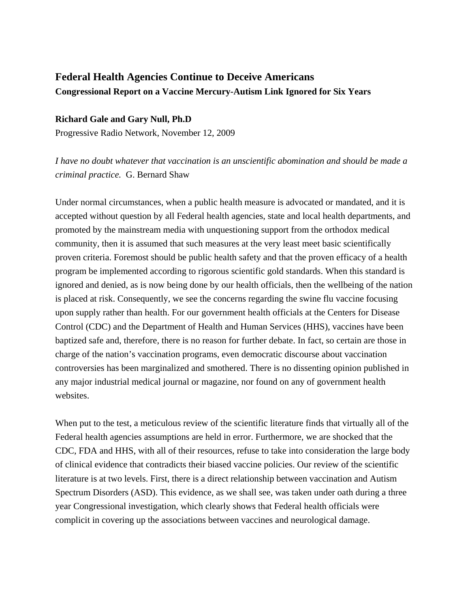# **Federal Health Agencies Continue to Deceive Americans Congressional Report on a Vaccine Mercury-Autism Link Ignored for Six Years**

### **Richard Gale and Gary Null, Ph.D**

Progressive Radio Network, November 12, 2009

*I have no doubt whatever that vaccination is an unscientific abomination and should be made a criminal practice.* G. Bernard Shaw

Under normal circumstances, when a public health measure is advocated or mandated, and it is accepted without question by all Federal health agencies, state and local health departments, and promoted by the mainstream media with unquestioning support from the orthodox medical community, then it is assumed that such measures at the very least meet basic scientifically proven criteria. Foremost should be public health safety and that the proven efficacy of a health program be implemented according to rigorous scientific gold standards. When this standard is ignored and denied, as is now being done by our health officials, then the wellbeing of the nation is placed at risk. Consequently, we see the concerns regarding the swine flu vaccine focusing upon supply rather than health. For our government health officials at the Centers for Disease Control (CDC) and the Department of Health and Human Services (HHS), vaccines have been baptized safe and, therefore, there is no reason for further debate. In fact, so certain are those in charge of the nation's vaccination programs, even democratic discourse about vaccination controversies has been marginalized and smothered. There is no dissenting opinion published in any major industrial medical journal or magazine, nor found on any of government health websites.

When put to the test, a meticulous review of the scientific literature finds that virtually all of the Federal health agencies assumptions are held in error. Furthermore, we are shocked that the CDC, FDA and HHS, with all of their resources, refuse to take into consideration the large body of clinical evidence that contradicts their biased vaccine policies. Our review of the scientific literature is at two levels. First, there is a direct relationship between vaccination and Autism Spectrum Disorders (ASD). This evidence, as we shall see, was taken under oath during a three year Congressional investigation, which clearly shows that Federal health officials were complicit in covering up the associations between vaccines and neurological damage.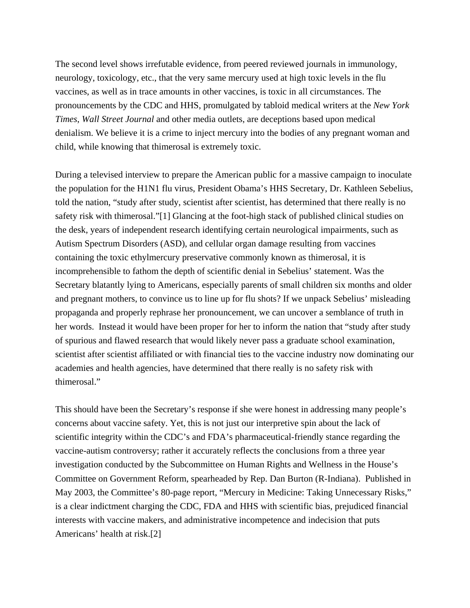The second level shows irrefutable evidence, from peered reviewed journals in immunology, neurology, toxicology, etc., that the very same mercury used at high toxic levels in the flu vaccines, as well as in trace amounts in other vaccines, is toxic in all circumstances. The pronouncements by the CDC and HHS, promulgated by tabloid medical writers at the *New York Times*, *Wall Street Journal* and other media outlets, are deceptions based upon medical denialism. We believe it is a crime to inject mercury into the bodies of any pregnant woman and child, while knowing that thimerosal is extremely toxic.

During a televised interview to prepare the American public for a massive campaign to inoculate the population for the H1N1 flu virus, President Obama's HHS Secretary, Dr. Kathleen Sebelius, told the nation, "study after study, scientist after scientist, has determined that there really is no safety risk with thimerosal."[1] Glancing at the foot-high stack of published clinical studies on the desk, years of independent research identifying certain neurological impairments, such as Autism Spectrum Disorders (ASD), and cellular organ damage resulting from vaccines containing the toxic ethylmercury preservative commonly known as thimerosal, it is incomprehensible to fathom the depth of scientific denial in Sebelius' statement. Was the Secretary blatantly lying to Americans, especially parents of small children six months and older and pregnant mothers, to convince us to line up for flu shots? If we unpack Sebelius' misleading propaganda and properly rephrase her pronouncement, we can uncover a semblance of truth in her words. Instead it would have been proper for her to inform the nation that "study after study of spurious and flawed research that would likely never pass a graduate school examination, scientist after scientist affiliated or with financial ties to the vaccine industry now dominating our academies and health agencies, have determined that there really is no safety risk with thimerosal."

This should have been the Secretary's response if she were honest in addressing many people's concerns about vaccine safety. Yet, this is not just our interpretive spin about the lack of scientific integrity within the CDC's and FDA's pharmaceutical-friendly stance regarding the vaccine-autism controversy; rather it accurately reflects the conclusions from a three year investigation conducted by the Subcommittee on Human Rights and Wellness in the House's Committee on Government Reform, spearheaded by Rep. Dan Burton (R-Indiana). Published in May 2003, the Committee's 80-page report, "Mercury in Medicine: Taking Unnecessary Risks," is a clear indictment charging the CDC, FDA and HHS with scientific bias, prejudiced financial interests with vaccine makers, and administrative incompetence and indecision that puts Americans' health at risk.[2]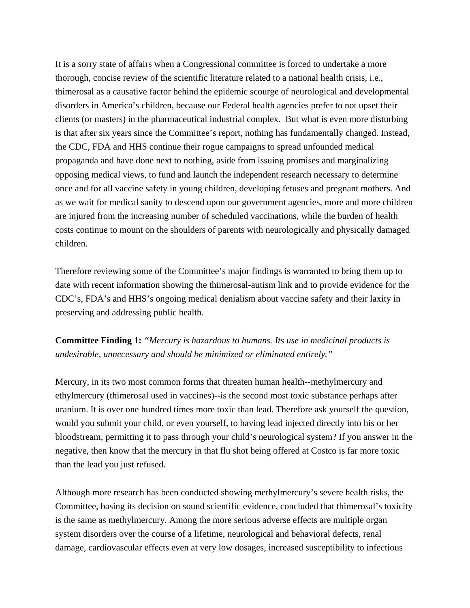It is a sorry state of affairs when a Congressional committee is forced to undertake a more thorough, concise review of the scientific literature related to a national health crisis, i.e., thimerosal as a causative factor behind the epidemic scourge of neurological and developmental disorders in America's children, because our Federal health agencies prefer to not upset their clients (or masters) in the pharmaceutical industrial complex. But what is even more disturbing is that after six years since the Committee's report, nothing has fundamentally changed. Instead, the CDC, FDA and HHS continue their rogue campaigns to spread unfounded medical propaganda and have done next to nothing, aside from issuing promises and marginalizing opposing medical views, to fund and launch the independent research necessary to determine once and for all vaccine safety in young children, developing fetuses and pregnant mothers. And as we wait for medical sanity to descend upon our government agencies, more and more children are injured from the increasing number of scheduled vaccinations, while the burden of health costs continue to mount on the shoulders of parents with neurologically and physically damaged children.

Therefore reviewing some of the Committee's major findings is warranted to bring them up to date with recent information showing the thimerosal-autism link and to provide evidence for the CDC's, FDA's and HHS's ongoing medical denialism about vaccine safety and their laxity in preserving and addressing public health.

**Committee Finding 1:** *"Mercury is hazardous to humans. Its use in medicinal products is undesirable, unnecessary and should be minimized or eliminated entirely."*

Mercury, in its two most common forms that threaten human health--methylmercury and ethylmercury (thimerosal used in vaccines)--is the second most toxic substance perhaps after uranium. It is over one hundred times more toxic than lead. Therefore ask yourself the question, would you submit your child, or even yourself, to having lead injected directly into his or her bloodstream, permitting it to pass through your child's neurological system? If you answer in the negative, then know that the mercury in that flu shot being offered at Costco is far more toxic than the lead you just refused.

Although more research has been conducted showing methylmercury's severe health risks, the Committee, basing its decision on sound scientific evidence, concluded that thimerosal's toxicity is the same as methylmercury. Among the more serious adverse effects are multiple organ system disorders over the course of a lifetime, neurological and behavioral defects, renal damage, cardiovascular effects even at very low dosages, increased susceptibility to infectious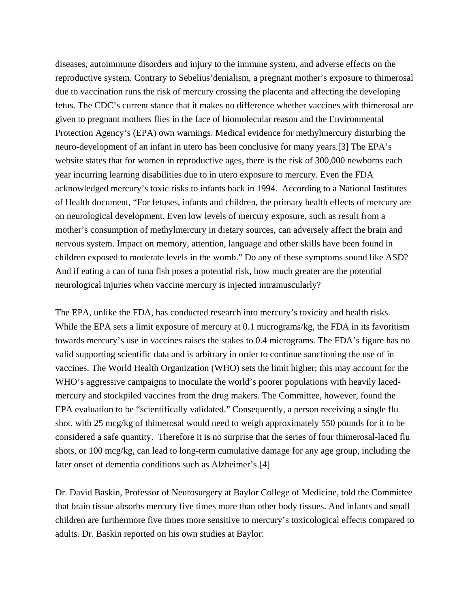diseases, autoimmune disorders and injury to the immune system, and adverse effects on the reproductive system. Contrary to Sebelius'denialism, a pregnant mother's exposure to thimerosal due to vaccination runs the risk of mercury crossing the placenta and affecting the developing fetus. The CDC's current stance that it makes no difference whether vaccines with thimerosal are given to pregnant mothers flies in the face of biomolecular reason and the Environmental Protection Agency's (EPA) own warnings. Medical evidence for methylmercury disturbing the neuro-development of an infant in utero has been conclusive for many years.[3] The EPA's website states that for women in reproductive ages, there is the risk of 300,000 newborns each year incurring learning disabilities due to in utero exposure to mercury. Even the FDA acknowledged mercury's toxic risks to infants back in 1994. According to a National Institutes of Health document, "For fetuses, infants and children, the primary health effects of mercury are on neurological development. Even low levels of mercury exposure, such as result from a mother's consumption of methylmercury in dietary sources, can adversely affect the brain and nervous system. Impact on memory, attention, language and other skills have been found in children exposed to moderate levels in the womb." Do any of these symptoms sound like ASD? And if eating a can of tuna fish poses a potential risk, how much greater are the potential neurological injuries when vaccine mercury is injected intramuscularly?

The EPA, unlike the FDA, has conducted research into mercury's toxicity and health risks. While the EPA sets a limit exposure of mercury at 0.1 micrograms/kg, the FDA in its favoritism towards mercury's use in vaccines raises the stakes to 0.4 micrograms. The FDA's figure has no valid supporting scientific data and is arbitrary in order to continue sanctioning the use of in vaccines. The World Health Organization (WHO) sets the limit higher; this may account for the WHO's aggressive campaigns to inoculate the world's poorer populations with heavily lacedmercury and stockpiled vaccines from the drug makers. The Committee, however, found the EPA evaluation to be "scientifically validated." Consequently, a person receiving a single flu shot, with 25 mcg/kg of thimerosal would need to weigh approximately 550 pounds for it to be considered a safe quantity. Therefore it is no surprise that the series of four thimerosal-laced flu shots, or 100 mcg/kg, can lead to long-term cumulative damage for any age group, including the later onset of dementia conditions such as Alzheimer's.[4]

Dr. David Baskin, Professor of Neurosurgery at Baylor College of Medicine, told the Committee that brain tissue absorbs mercury five times more than other body tissues. And infants and small children are furthermore five times more sensitive to mercury's toxicological effects compared to adults. Dr. Baskin reported on his own studies at Baylor: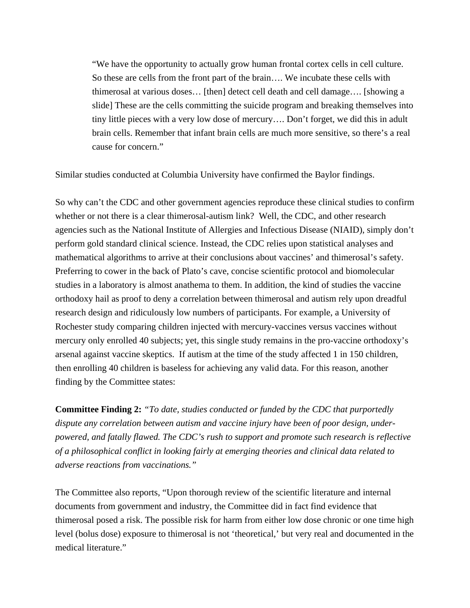"We have the opportunity to actually grow human frontal cortex cells in cell culture. So these are cells from the front part of the brain…. We incubate these cells with thimerosal at various doses… [then] detect cell death and cell damage…. [showing a slide] These are the cells committing the suicide program and breaking themselves into tiny little pieces with a very low dose of mercury…. Don't forget, we did this in adult brain cells. Remember that infant brain cells are much more sensitive, so there's a real cause for concern."

Similar studies conducted at Columbia University have confirmed the Baylor findings.

So why can't the CDC and other government agencies reproduce these clinical studies to confirm whether or not there is a clear thimerosal-autism link? Well, the CDC, and other research agencies such as the National Institute of Allergies and Infectious Disease (NIAID), simply don't perform gold standard clinical science. Instead, the CDC relies upon statistical analyses and mathematical algorithms to arrive at their conclusions about vaccines' and thimerosal's safety. Preferring to cower in the back of Plato's cave, concise scientific protocol and biomolecular studies in a laboratory is almost anathema to them. In addition, the kind of studies the vaccine orthodoxy hail as proof to deny a correlation between thimerosal and autism rely upon dreadful research design and ridiculously low numbers of participants. For example, a University of Rochester study comparing children injected with mercury-vaccines versus vaccines without mercury only enrolled 40 subjects; yet, this single study remains in the pro-vaccine orthodoxy's arsenal against vaccine skeptics. If autism at the time of the study affected 1 in 150 children, then enrolling 40 children is baseless for achieving any valid data. For this reason, another finding by the Committee states:

**Committee Finding 2:** *"To date, studies conducted or funded by the CDC that purportedly dispute any correlation between autism and vaccine injury have been of poor design, underpowered, and fatally flawed. The CDC's rush to support and promote such research is reflective of a philosophical conflict in looking fairly at emerging theories and clinical data related to adverse reactions from vaccinations."*

The Committee also reports, "Upon thorough review of the scientific literature and internal documents from government and industry, the Committee did in fact find evidence that thimerosal posed a risk. The possible risk for harm from either low dose chronic or one time high level (bolus dose) exposure to thimerosal is not 'theoretical,' but very real and documented in the medical literature."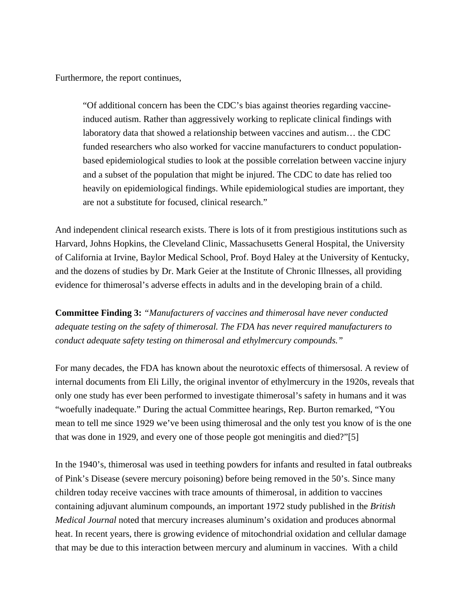Furthermore, the report continues,

"Of additional concern has been the CDC's bias against theories regarding vaccineinduced autism. Rather than aggressively working to replicate clinical findings with laboratory data that showed a relationship between vaccines and autism… the CDC funded researchers who also worked for vaccine manufacturers to conduct populationbased epidemiological studies to look at the possible correlation between vaccine injury and a subset of the population that might be injured. The CDC to date has relied too heavily on epidemiological findings. While epidemiological studies are important, they are not a substitute for focused, clinical research."

And independent clinical research exists. There is lots of it from prestigious institutions such as Harvard, Johns Hopkins, the Cleveland Clinic, Massachusetts General Hospital, the University of California at Irvine, Baylor Medical School, Prof. Boyd Haley at the University of Kentucky, and the dozens of studies by Dr. Mark Geier at the Institute of Chronic Illnesses, all providing evidence for thimerosal's adverse effects in adults and in the developing brain of a child.

**Committee Finding 3:** *"Manufacturers of vaccines and thimerosal have never conducted adequate testing on the safety of thimerosal. The FDA has never required manufacturers to conduct adequate safety testing on thimerosal and ethylmercury compounds."*

For many decades, the FDA has known about the neurotoxic effects of thimersosal. A review of internal documents from Eli Lilly, the original inventor of ethylmercury in the 1920s, reveals that only one study has ever been performed to investigate thimerosal's safety in humans and it was "woefully inadequate." During the actual Committee hearings, Rep. Burton remarked, "You mean to tell me since 1929 we've been using thimerosal and the only test you know of is the one that was done in 1929, and every one of those people got meningitis and died?"[5]

In the 1940's, thimerosal was used in teething powders for infants and resulted in fatal outbreaks of Pink's Disease (severe mercury poisoning) before being removed in the 50's. Since many children today receive vaccines with trace amounts of thimerosal, in addition to vaccines containing adjuvant aluminum compounds, an important 1972 study published in the *British Medical Journal* noted that mercury increases aluminum's oxidation and produces abnormal heat. In recent years, there is growing evidence of mitochondrial oxidation and cellular damage that may be due to this interaction between mercury and aluminum in vaccines. With a child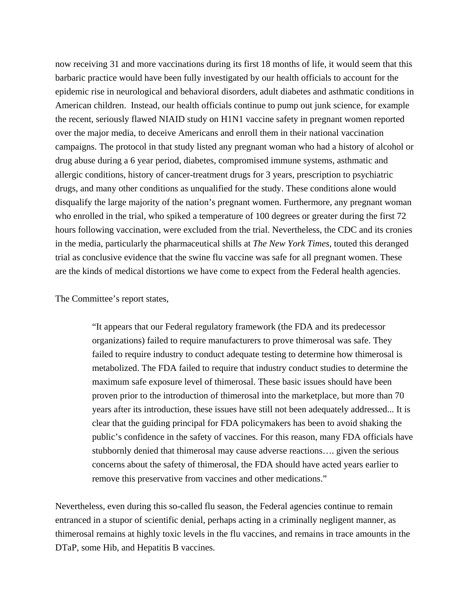now receiving 31 and more vaccinations during its first 18 months of life, it would seem that this barbaric practice would have been fully investigated by our health officials to account for the epidemic rise in neurological and behavioral disorders, adult diabetes and asthmatic conditions in American children. Instead, our health officials continue to pump out junk science, for example the recent, seriously flawed NIAID study on H1N1 vaccine safety in pregnant women reported over the major media, to deceive Americans and enroll them in their national vaccination campaigns. The protocol in that study listed any pregnant woman who had a history of alcohol or drug abuse during a 6 year period, diabetes, compromised immune systems, asthmatic and allergic conditions, history of cancer-treatment drugs for 3 years, prescription to psychiatric drugs, and many other conditions as unqualified for the study. These conditions alone would disqualify the large majority of the nation's pregnant women. Furthermore, any pregnant woman who enrolled in the trial, who spiked a temperature of 100 degrees or greater during the first 72 hours following vaccination, were excluded from the trial. Nevertheless, the CDC and its cronies in the media, particularly the pharmaceutical shills at *The New York Times*, touted this deranged trial as conclusive evidence that the swine flu vaccine was safe for all pregnant women. These are the kinds of medical distortions we have come to expect from the Federal health agencies.

#### The Committee's report states,

"It appears that our Federal regulatory framework (the FDA and its predecessor organizations) failed to require manufacturers to prove thimerosal was safe. They failed to require industry to conduct adequate testing to determine how thimerosal is metabolized. The FDA failed to require that industry conduct studies to determine the maximum safe exposure level of thimerosal. These basic issues should have been proven prior to the introduction of thimerosal into the marketplace, but more than 70 years after its introduction, these issues have still not been adequately addressed... It is clear that the guiding principal for FDA policymakers has been to avoid shaking the public's confidence in the safety of vaccines. For this reason, many FDA officials have stubbornly denied that thimerosal may cause adverse reactions…. given the serious concerns about the safety of thimerosal, the FDA should have acted years earlier to remove this preservative from vaccines and other medications."

Nevertheless, even during this so-called flu season, the Federal agencies continue to remain entranced in a stupor of scientific denial, perhaps acting in a criminally negligent manner, as thimerosal remains at highly toxic levels in the flu vaccines, and remains in trace amounts in the DTaP, some Hib, and Hepatitis B vaccines.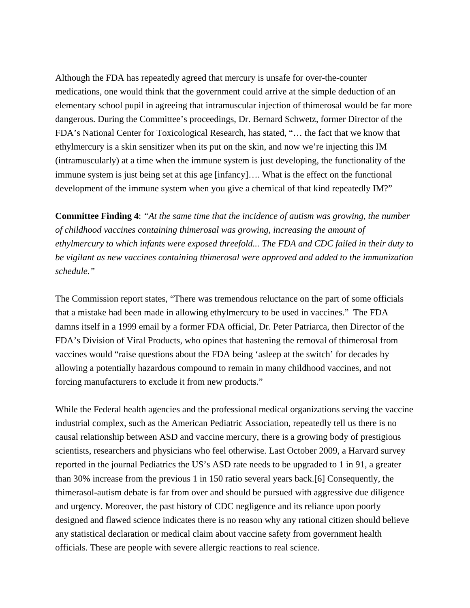Although the FDA has repeatedly agreed that mercury is unsafe for over-the-counter medications, one would think that the government could arrive at the simple deduction of an elementary school pupil in agreeing that intramuscular injection of thimerosal would be far more dangerous. During the Committee's proceedings, Dr. Bernard Schwetz, former Director of the FDA's National Center for Toxicological Research, has stated, "… the fact that we know that ethylmercury is a skin sensitizer when its put on the skin, and now we're injecting this IM (intramuscularly) at a time when the immune system is just developing, the functionality of the immune system is just being set at this age [infancy]…. What is the effect on the functional development of the immune system when you give a chemical of that kind repeatedly IM?"

**Committee Finding 4**: *"At the same time that the incidence of autism was growing, the number of childhood vaccines containing thimerosal was growing, increasing the amount of ethylmercury to which infants were exposed threefold... The FDA and CDC failed in their duty to be vigilant as new vaccines containing thimerosal were approved and added to the immunization schedule."*

The Commission report states, "There was tremendous reluctance on the part of some officials that a mistake had been made in allowing ethylmercury to be used in vaccines." The FDA damns itself in a 1999 email by a former FDA official, Dr. Peter Patriarca, then Director of the FDA's Division of Viral Products, who opines that hastening the removal of thimerosal from vaccines would "raise questions about the FDA being 'asleep at the switch' for decades by allowing a potentially hazardous compound to remain in many childhood vaccines, and not forcing manufacturers to exclude it from new products."

While the Federal health agencies and the professional medical organizations serving the vaccine industrial complex, such as the American Pediatric Association, repeatedly tell us there is no causal relationship between ASD and vaccine mercury, there is a growing body of prestigious scientists, researchers and physicians who feel otherwise. Last October 2009, a Harvard survey reported in the journal Pediatrics the US's ASD rate needs to be upgraded to 1 in 91, a greater than 30% increase from the previous 1 in 150 ratio several years back.[6] Consequently, the thimerasol-autism debate is far from over and should be pursued with aggressive due diligence and urgency. Moreover, the past history of CDC negligence and its reliance upon poorly designed and flawed science indicates there is no reason why any rational citizen should believe any statistical declaration or medical claim about vaccine safety from government health officials. These are people with severe allergic reactions to real science.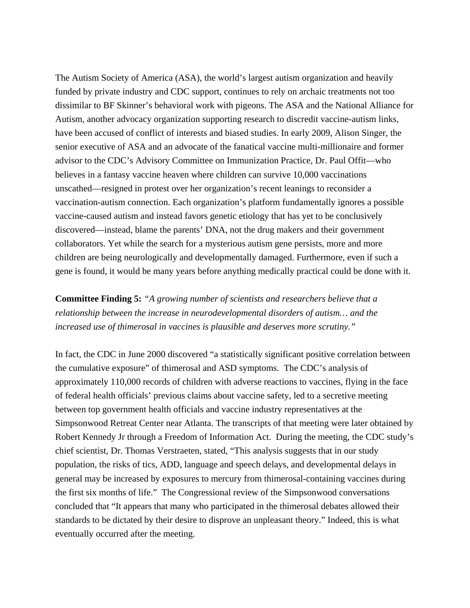The Autism Society of America (ASA), the world's largest autism organization and heavily funded by private industry and CDC support, continues to rely on archaic treatments not too dissimilar to BF Skinner's behavioral work with pigeons. The ASA and the National Alliance for Autism, another advocacy organization supporting research to discredit vaccine-autism links, have been accused of conflict of interests and biased studies. In early 2009, Alison Singer, the senior executive of ASA and an advocate of the fanatical vaccine multi-millionaire and former advisor to the CDC's Advisory Committee on Immunization Practice, Dr. Paul Offit—who believes in a fantasy vaccine heaven where children can survive 10,000 vaccinations unscathed—resigned in protest over her organization's recent leanings to reconsider a vaccination-autism connection. Each organization's platform fundamentally ignores a possible vaccine-caused autism and instead favors genetic etiology that has yet to be conclusively discovered—instead, blame the parents' DNA, not the drug makers and their government collaborators. Yet while the search for a mysterious autism gene persists, more and more children are being neurologically and developmentally damaged. Furthermore, even if such a gene is found, it would be many years before anything medically practical could be done with it.

## **Committee Finding 5:** *"A growing number of scientists and researchers believe that a relationship between the increase in neurodevelopmental disorders of autism… and the increased use of thimerosal in vaccines is plausible and deserves more scrutiny."*

In fact, the CDC in June 2000 discovered "a statistically significant positive correlation between the cumulative exposure" of thimerosal and ASD symptoms. The CDC's analysis of approximately 110,000 records of children with adverse reactions to vaccines, flying in the face of federal health officials' previous claims about vaccine safety, led to a secretive meeting between top government health officials and vaccine industry representatives at the Simpsonwood Retreat Center near Atlanta. The transcripts of that meeting were later obtained by Robert Kennedy Jr through a Freedom of Information Act. During the meeting, the CDC study's chief scientist, Dr. Thomas Verstraeten, stated, "This analysis suggests that in our study population, the risks of tics, ADD, language and speech delays, and developmental delays in general may be increased by exposures to mercury from thimerosal-containing vaccines during the first six months of life." The Congressional review of the Simpsonwood conversations concluded that "It appears that many who participated in the thimerosal debates allowed their standards to be dictated by their desire to disprove an unpleasant theory." Indeed, this is what eventually occurred after the meeting.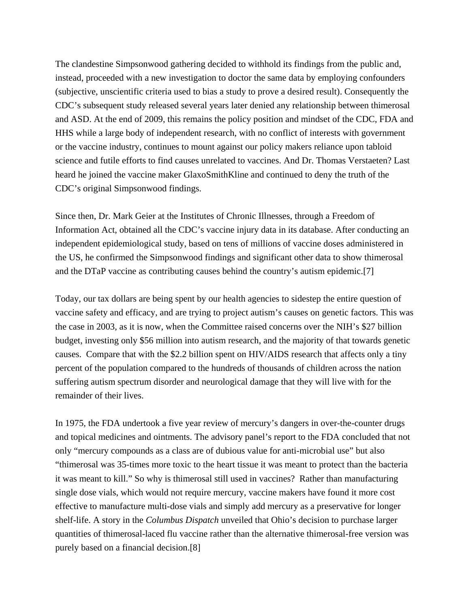The clandestine Simpsonwood gathering decided to withhold its findings from the public and, instead, proceeded with a new investigation to doctor the same data by employing confounders (subjective, unscientific criteria used to bias a study to prove a desired result). Consequently the CDC's subsequent study released several years later denied any relationship between thimerosal and ASD. At the end of 2009, this remains the policy position and mindset of the CDC, FDA and HHS while a large body of independent research, with no conflict of interests with government or the vaccine industry, continues to mount against our policy makers reliance upon tabloid science and futile efforts to find causes unrelated to vaccines. And Dr. Thomas Verstaeten? Last heard he joined the vaccine maker GlaxoSmithKline and continued to deny the truth of the CDC's original Simpsonwood findings.

Since then, Dr. Mark Geier at the Institutes of Chronic Illnesses, through a Freedom of Information Act, obtained all the CDC's vaccine injury data in its database. After conducting an independent epidemiological study, based on tens of millions of vaccine doses administered in the US, he confirmed the Simpsonwood findings and significant other data to show thimerosal and the DTaP vaccine as contributing causes behind the country's autism epidemic.[7]

Today, our tax dollars are being spent by our health agencies to sidestep the entire question of vaccine safety and efficacy, and are trying to project autism's causes on genetic factors. This was the case in 2003, as it is now, when the Committee raised concerns over the NIH's \$27 billion budget, investing only \$56 million into autism research, and the majority of that towards genetic causes. Compare that with the \$2.2 billion spent on HIV/AIDS research that affects only a tiny percent of the population compared to the hundreds of thousands of children across the nation suffering autism spectrum disorder and neurological damage that they will live with for the remainder of their lives.

In 1975, the FDA undertook a five year review of mercury's dangers in over-the-counter drugs and topical medicines and ointments. The advisory panel's report to the FDA concluded that not only "mercury compounds as a class are of dubious value for anti-microbial use" but also "thimerosal was 35-times more toxic to the heart tissue it was meant to protect than the bacteria it was meant to kill." So why is thimerosal still used in vaccines? Rather than manufacturing single dose vials, which would not require mercury, vaccine makers have found it more cost effective to manufacture multi-dose vials and simply add mercury as a preservative for longer shelf-life. A story in the *Columbus Dispatch* unveiled that Ohio's decision to purchase larger quantities of thimerosal-laced flu vaccine rather than the alternative thimerosal-free version was purely based on a financial decision.[8]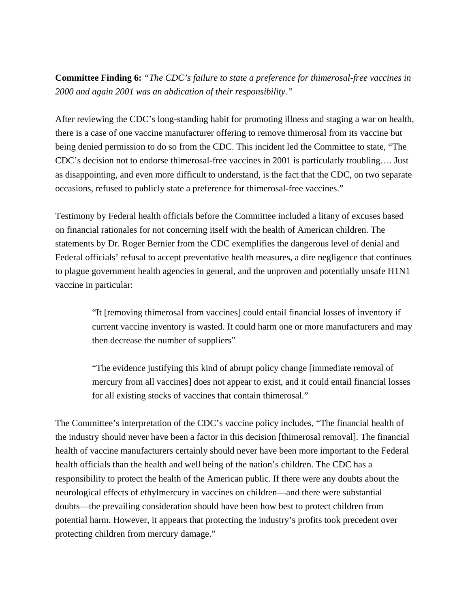**Committee Finding 6:** *"The CDC's failure to state a preference for thimerosal-free vaccines in 2000 and again 2001 was an abdication of their responsibility."*

After reviewing the CDC's long-standing habit for promoting illness and staging a war on health, there is a case of one vaccine manufacturer offering to remove thimerosal from its vaccine but being denied permission to do so from the CDC. This incident led the Committee to state, "The CDC's decision not to endorse thimerosal-free vaccines in 2001 is particularly troubling…. Just as disappointing, and even more difficult to understand, is the fact that the CDC, on two separate occasions, refused to publicly state a preference for thimerosal-free vaccines."

Testimony by Federal health officials before the Committee included a litany of excuses based on financial rationales for not concerning itself with the health of American children. The statements by Dr. Roger Bernier from the CDC exemplifies the dangerous level of denial and Federal officials' refusal to accept preventative health measures, a dire negligence that continues to plague government health agencies in general, and the unproven and potentially unsafe H1N1 vaccine in particular:

> "It [removing thimerosal from vaccines] could entail financial losses of inventory if current vaccine inventory is wasted. It could harm one or more manufacturers and may then decrease the number of suppliers"

> "The evidence justifying this kind of abrupt policy change [immediate removal of mercury from all vaccines] does not appear to exist, and it could entail financial losses for all existing stocks of vaccines that contain thimerosal."

The Committee's interpretation of the CDC's vaccine policy includes, "The financial health of the industry should never have been a factor in this decision [thimerosal removal]. The financial health of vaccine manufacturers certainly should never have been more important to the Federal health officials than the health and well being of the nation's children. The CDC has a responsibility to protect the health of the American public. If there were any doubts about the neurological effects of ethylmercury in vaccines on children—and there were substantial doubts—the prevailing consideration should have been how best to protect children from potential harm. However, it appears that protecting the industry's profits took precedent over protecting children from mercury damage."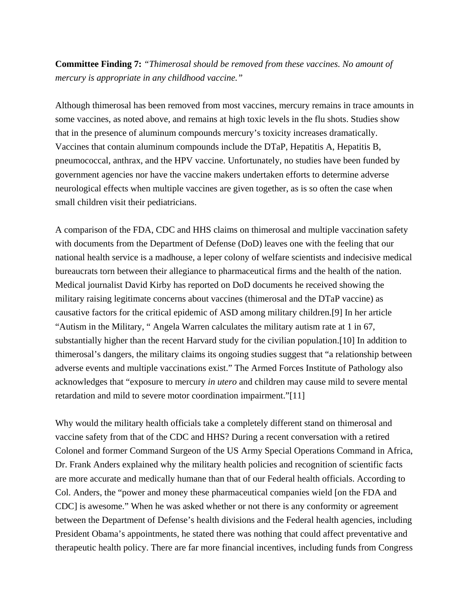### **Committee Finding 7:** *"Thimerosal should be removed from these vaccines. No amount of mercury is appropriate in any childhood vaccine."*

Although thimerosal has been removed from most vaccines, mercury remains in trace amounts in some vaccines, as noted above, and remains at high toxic levels in the flu shots. Studies show that in the presence of aluminum compounds mercury's toxicity increases dramatically. Vaccines that contain aluminum compounds include the DTaP, Hepatitis A, Hepatitis B, pneumococcal, anthrax, and the HPV vaccine. Unfortunately, no studies have been funded by government agencies nor have the vaccine makers undertaken efforts to determine adverse neurological effects when multiple vaccines are given together, as is so often the case when small children visit their pediatricians.

A comparison of the FDA, CDC and HHS claims on thimerosal and multiple vaccination safety with documents from the Department of Defense (DoD) leaves one with the feeling that our national health service is a madhouse, a leper colony of welfare scientists and indecisive medical bureaucrats torn between their allegiance to pharmaceutical firms and the health of the nation. Medical journalist David Kirby has reported on DoD documents he received showing the military raising legitimate concerns about vaccines (thimerosal and the DTaP vaccine) as causative factors for the critical epidemic of ASD among military children.[9] In her article "Autism in the Military, " Angela Warren calculates the military autism rate at 1 in 67, substantially higher than the recent Harvard study for the civilian population.[10] In addition to thimerosal's dangers, the military claims its ongoing studies suggest that "a relationship between adverse events and multiple vaccinations exist." The Armed Forces Institute of Pathology also acknowledges that "exposure to mercury *in utero* and children may cause mild to severe mental retardation and mild to severe motor coordination impairment."[11]

Why would the military health officials take a completely different stand on thimerosal and vaccine safety from that of the CDC and HHS? During a recent conversation with a retired Colonel and former Command Surgeon of the US Army Special Operations Command in Africa, Dr. Frank Anders explained why the military health policies and recognition of scientific facts are more accurate and medically humane than that of our Federal health officials. According to Col. Anders, the "power and money these pharmaceutical companies wield [on the FDA and CDC] is awesome." When he was asked whether or not there is any conformity or agreement between the Department of Defense's health divisions and the Federal health agencies, including President Obama's appointments, he stated there was nothing that could affect preventative and therapeutic health policy. There are far more financial incentives, including funds from Congress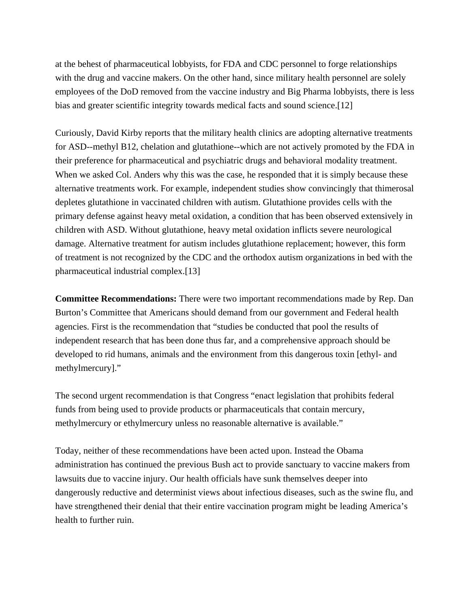at the behest of pharmaceutical lobbyists, for FDA and CDC personnel to forge relationships with the drug and vaccine makers. On the other hand, since military health personnel are solely employees of the DoD removed from the vaccine industry and Big Pharma lobbyists, there is less bias and greater scientific integrity towards medical facts and sound science.[12]

Curiously, David Kirby reports that the military health clinics are adopting alternative treatments for ASD--methyl B12, chelation and glutathione--which are not actively promoted by the FDA in their preference for pharmaceutical and psychiatric drugs and behavioral modality treatment. When we asked Col. Anders why this was the case, he responded that it is simply because these alternative treatments work. For example, independent studies show convincingly that thimerosal depletes glutathione in vaccinated children with autism. Glutathione provides cells with the primary defense against heavy metal oxidation, a condition that has been observed extensively in children with ASD. Without glutathione, heavy metal oxidation inflicts severe neurological damage. Alternative treatment for autism includes glutathione replacement; however, this form of treatment is not recognized by the CDC and the orthodox autism organizations in bed with the pharmaceutical industrial complex.[13]

**Committee Recommendations:** There were two important recommendations made by Rep. Dan Burton's Committee that Americans should demand from our government and Federal health agencies. First is the recommendation that "studies be conducted that pool the results of independent research that has been done thus far, and a comprehensive approach should be developed to rid humans, animals and the environment from this dangerous toxin [ethyl- and methylmercury]."

The second urgent recommendation is that Congress "enact legislation that prohibits federal funds from being used to provide products or pharmaceuticals that contain mercury, methylmercury or ethylmercury unless no reasonable alternative is available."

Today, neither of these recommendations have been acted upon. Instead the Obama administration has continued the previous Bush act to provide sanctuary to vaccine makers from lawsuits due to vaccine injury. Our health officials have sunk themselves deeper into dangerously reductive and determinist views about infectious diseases, such as the swine flu, and have strengthened their denial that their entire vaccination program might be leading America's health to further ruin.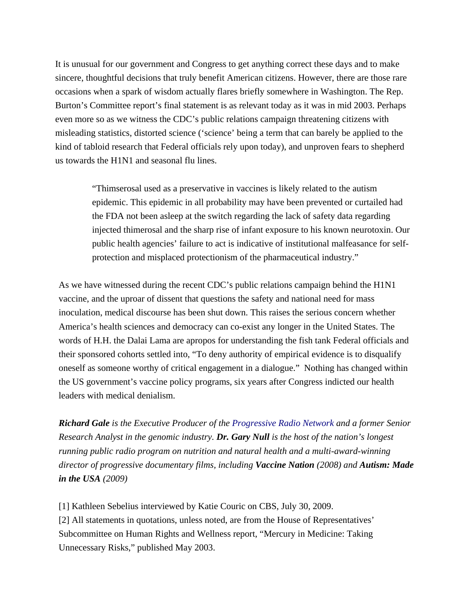It is unusual for our government and Congress to get anything correct these days and to make sincere, thoughtful decisions that truly benefit American citizens. However, there are those rare occasions when a spark of wisdom actually flares briefly somewhere in Washington. The Rep. Burton's Committee report's final statement is as relevant today as it was in mid 2003. Perhaps even more so as we witness the CDC's public relations campaign threatening citizens with misleading statistics, distorted science ('science' being a term that can barely be applied to the kind of tabloid research that Federal officials rely upon today), and unproven fears to shepherd us towards the H1N1 and seasonal flu lines.

> "Thimserosal used as a preservative in vaccines is likely related to the autism epidemic. This epidemic in all probability may have been prevented or curtailed had the FDA not been asleep at the switch regarding the lack of safety data regarding injected thimerosal and the sharp rise of infant exposure to his known neurotoxin. Our public health agencies' failure to act is indicative of institutional malfeasance for selfprotection and misplaced protectionism of the pharmaceutical industry."

As we have witnessed during the recent CDC's public relations campaign behind the H1N1 vaccine, and the uproar of dissent that questions the safety and national need for mass inoculation, medical discourse has been shut down. This raises the serious concern whether America's health sciences and democracy can co-exist any longer in the United States. The words of H.H. the Dalai Lama are apropos for understanding the fish tank Federal officials and their sponsored cohorts settled into, "To deny authority of empirical evidence is to disqualify oneself as someone worthy of critical engagement in a dialogue." Nothing has changed within the US government's vaccine policy programs, six years after Congress indicted our health leaders with medical denialism.

*Richard Gale is the Executive Producer of the [Progressive Radio Network](http://www.globalresearch.ca/admin/rte/www.progressiveradionetwork.com) and a former Senior Research Analyst in the genomic industry. Dr. Gary Null is the host of the nation's longest running public radio program on nutrition and natural health and a multi-award-winning director of progressive documentary films, including Vaccine Nation (2008) and Autism: Made in the USA (2009)*

[1] Kathleen Sebelius interviewed by Katie Couric on CBS, July 30, 2009. [2] All statements in quotations, unless noted, are from the House of Representatives' Subcommittee on Human Rights and Wellness report, "Mercury in Medicine: Taking Unnecessary Risks," published May 2003.